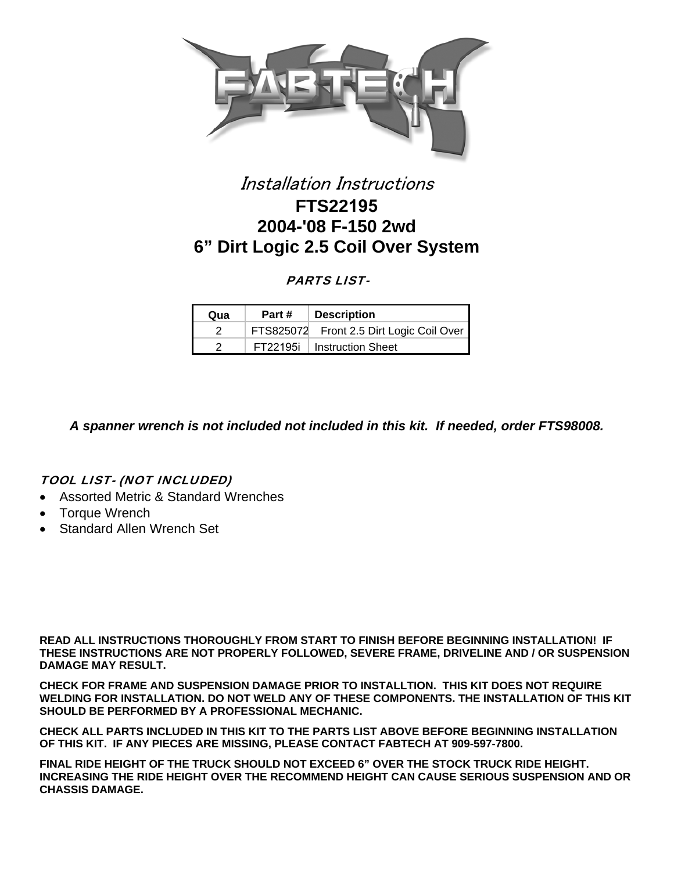

# Installation Instructions **FTS22195 2004-'08 F-150 2wd 6" Dirt Logic 2.5 Coil Over System**

## PARTS LIST-

| Qua | Part # | <b>Description</b>                       |
|-----|--------|------------------------------------------|
|     |        | FTS825072 Front 2.5 Dirt Logic Coil Over |
|     |        | FT22195i   Instruction Sheet             |

*A spanner wrench is not included not included in this kit. If needed, order FTS98008.* 

### TOOL LIST- (NOT INCLUDED)

- Assorted Metric & Standard Wrenches
- Torque Wrench
- Standard Allen Wrench Set

**READ ALL INSTRUCTIONS THOROUGHLY FROM START TO FINISH BEFORE BEGINNING INSTALLATION! IF THESE INSTRUCTIONS ARE NOT PROPERLY FOLLOWED, SEVERE FRAME, DRIVELINE AND / OR SUSPENSION DAMAGE MAY RESULT.** 

**CHECK FOR FRAME AND SUSPENSION DAMAGE PRIOR TO INSTALLTION. THIS KIT DOES NOT REQUIRE WELDING FOR INSTALLATION. DO NOT WELD ANY OF THESE COMPONENTS. THE INSTALLATION OF THIS KIT SHOULD BE PERFORMED BY A PROFESSIONAL MECHANIC.**

**CHECK ALL PARTS INCLUDED IN THIS KIT TO THE PARTS LIST ABOVE BEFORE BEGINNING INSTALLATION OF THIS KIT. IF ANY PIECES ARE MISSING, PLEASE CONTACT FABTECH AT 909-597-7800.** 

**FINAL RIDE HEIGHT OF THE TRUCK SHOULD NOT EXCEED 6" OVER THE STOCK TRUCK RIDE HEIGHT. INCREASING THE RIDE HEIGHT OVER THE RECOMMEND HEIGHT CAN CAUSE SERIOUS SUSPENSION AND OR CHASSIS DAMAGE.**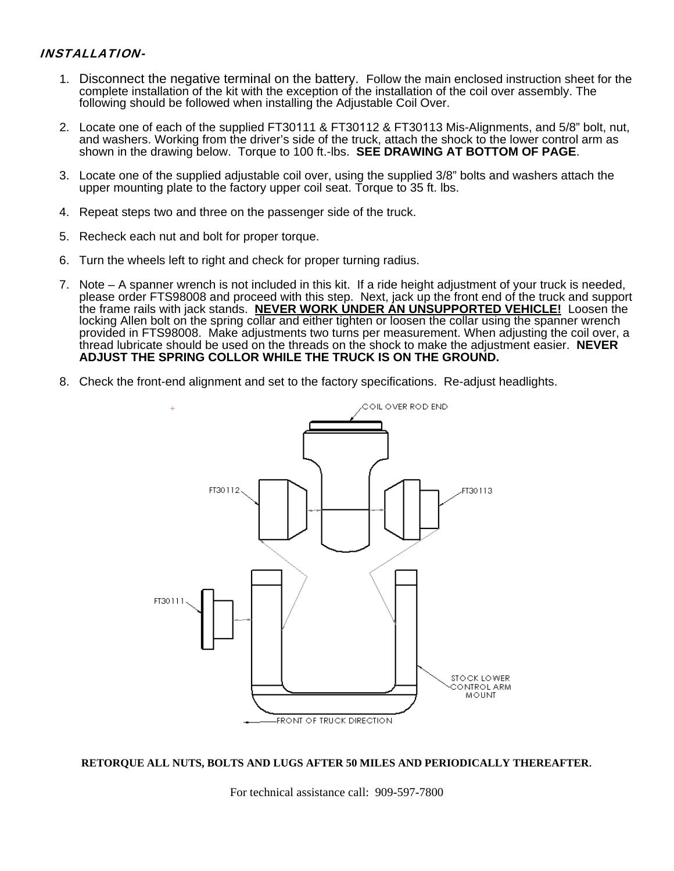#### INSTALLATION-

- 1. Disconnect the negative terminal on the battery. Follow the main enclosed instruction sheet for the complete installation of the kit with the exception of the installation of the coil over assembly. The following should be followed when installing the Adjustable Coil Over.
- 2. Locate one of each of the supplied FT30111 & FT30112 & FT30113 Mis-Alignments, and 5/8" bolt, nut, and washers. Working from the driver's side of the truck, attach the shock to the lower control arm as shown in the drawing below. Torque to 100 ft.-lbs. **SEE DRAWING AT BOTTOM OF PAGE**.
- 3. Locate one of the supplied adjustable coil over, using the supplied 3/8" bolts and washers attach the upper mounting plate to the factory upper coil seat. Torque to 35 ft. lbs.
- 4. Repeat steps two and three on the passenger side of the truck.
- 5. Recheck each nut and bolt for proper torque.
- 6. Turn the wheels left to right and check for proper turning radius.
- 7. Note A spanner wrench is not included in this kit. If a ride height adjustment of your truck is needed, please order FTS98008 and proceed with this step. Next, jack up the front end of the truck and support the frame rails with jack stands. **NEVER WORK UNDER AN UNSUPPORTED VEHICLE!** Loosen the locking Allen bolt on the spring collar and either tighten or loosen the collar using the spanner wrench provided in FTS98008. Make adjustments two turns per measurement. When adjusting the coil over, a thread lubricate should be used on the threads on the shock to make the adjustment easier. **NEVER ADJUST THE SPRING COLLOR WHILE THE TRUCK IS ON THE GROUND.**
- 8. Check the front-end alignment and set to the factory specifications. Re-adjust headlights.



**RETORQUE ALL NUTS, BOLTS AND LUGS AFTER 50 MILES AND PERIODICALLY THEREAFTER**.

For technical assistance call: 909-597-7800